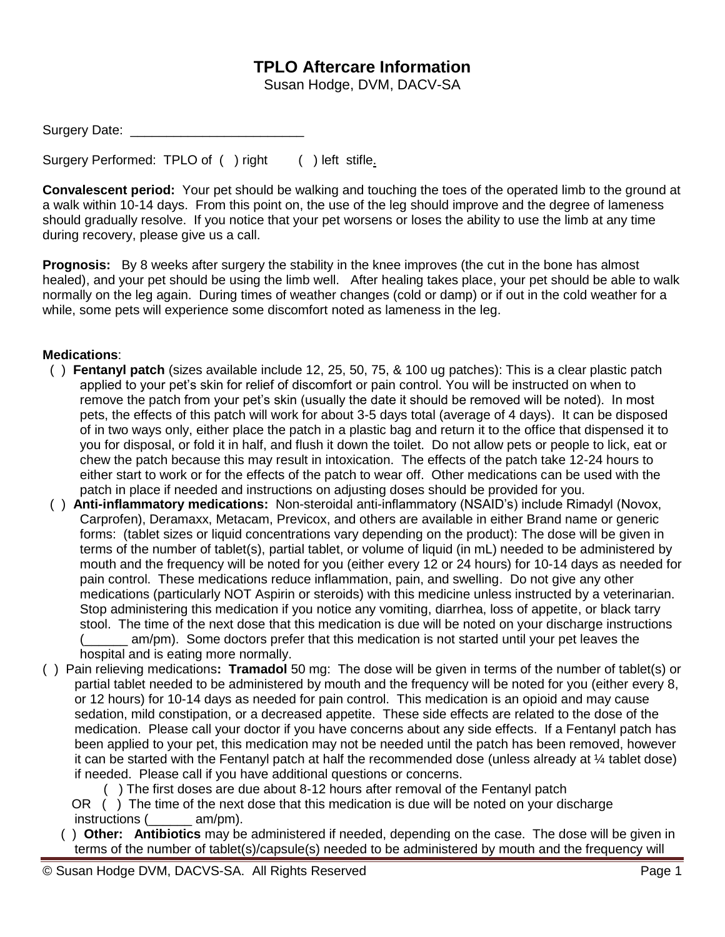## **TPLO Aftercare Information**

Susan Hodge, DVM, DACV-SA

| Surgery Date: |  |
|---------------|--|
|---------------|--|

Surgery Performed: TPLO of ( ) right ( ) left stifle.

**Convalescent period:** Your pet should be walking and touching the toes of the operated limb to the ground at a walk within 10-14 days. From this point on, the use of the leg should improve and the degree of lameness should gradually resolve. If you notice that your pet worsens or loses the ability to use the limb at any time during recovery, please give us a call.

**Prognosis:** By 8 weeks after surgery the stability in the knee improves (the cut in the bone has almost healed), and your pet should be using the limb well. After healing takes place, your pet should be able to walk normally on the leg again. During times of weather changes (cold or damp) or if out in the cold weather for a while, some pets will experience some discomfort noted as lameness in the leg.

## **Medications**:

- ( ) **Fentanyl patch** (sizes available include 12, 25, 50, 75, & 100 ug patches): This is a clear plastic patch applied to your pet's skin for relief of discomfort or pain control. You will be instructed on when to remove the patch from your pet's skin (usually the date it should be removed will be noted). In most pets, the effects of this patch will work for about 3-5 days total (average of 4 days). It can be disposed of in two ways only, either place the patch in a plastic bag and return it to the office that dispensed it to you for disposal, or fold it in half, and flush it down the toilet. Do not allow pets or people to lick, eat or chew the patch because this may result in intoxication. The effects of the patch take 12-24 hours to either start to work or for the effects of the patch to wear off. Other medications can be used with the patch in place if needed and instructions on adjusting doses should be provided for you.
- ( ) **Anti-inflammatory medications:** Non-steroidal anti-inflammatory (NSAID's) include Rimadyl (Novox, Carprofen), Deramaxx, Metacam, Previcox, and others are available in either Brand name or generic forms: (tablet sizes or liquid concentrations vary depending on the product): The dose will be given in terms of the number of tablet(s), partial tablet, or volume of liquid (in mL) needed to be administered by mouth and the frequency will be noted for you (either every 12 or 24 hours) for 10-14 days as needed for pain control. These medications reduce inflammation, pain, and swelling. Do not give any other medications (particularly NOT Aspirin or steroids) with this medicine unless instructed by a veterinarian. Stop administering this medication if you notice any vomiting, diarrhea, loss of appetite, or black tarry stool. The time of the next dose that this medication is due will be noted on your discharge instructions am/pm). Some doctors prefer that this medication is not started until your pet leaves the

hospital and is eating more normally. ( ) Pain relieving medications**: Tramadol** 50 mg: The dose will be given in terms of the number of tablet(s) or partial tablet needed to be administered by mouth and the frequency will be noted for you (either every 8, or 12 hours) for 10-14 days as needed for pain control. This medication is an opioid and may cause sedation, mild constipation, or a decreased appetite. These side effects are related to the dose of the medication. Please call your doctor if you have concerns about any side effects. If a Fentanyl patch has been applied to your pet, this medication may not be needed until the patch has been removed, however it can be started with the Fentanyl patch at half the recommended dose (unless already at ¼ tablet dose) if needed. Please call if you have additional questions or concerns.

( ) The first doses are due about 8-12 hours after removal of the Fentanyl patch

 OR ( ) The time of the next dose that this medication is due will be noted on your discharge instructions (  $am/m$ ).

 ( ) **Other: Antibiotics** may be administered if needed, depending on the case. The dose will be given in terms of the number of tablet(s)/capsule(s) needed to be administered by mouth and the frequency will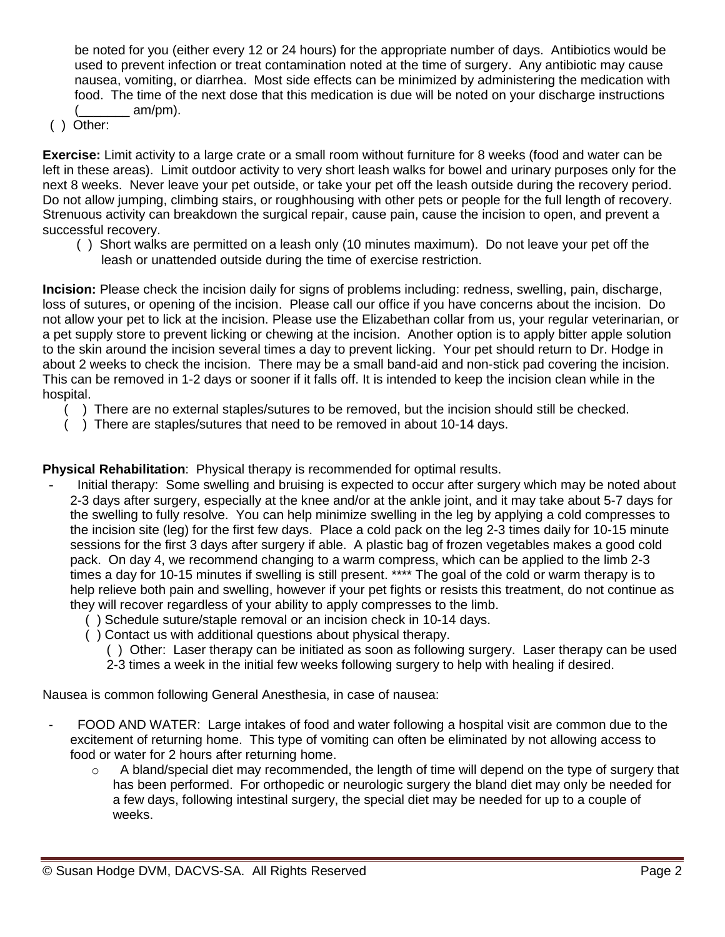be noted for you (either every 12 or 24 hours) for the appropriate number of days. Antibiotics would be used to prevent infection or treat contamination noted at the time of surgery. Any antibiotic may cause nausea, vomiting, or diarrhea. Most side effects can be minimized by administering the medication with food. The time of the next dose that this medication is due will be noted on your discharge instructions  $am/pm)$ .

( ) Other:

**Exercise:** Limit activity to a large crate or a small room without furniture for 8 weeks (food and water can be left in these areas). Limit outdoor activity to very short leash walks for bowel and urinary purposes only for the next 8 weeks. Never leave your pet outside, or take your pet off the leash outside during the recovery period. Do not allow jumping, climbing stairs, or roughhousing with other pets or people for the full length of recovery. Strenuous activity can breakdown the surgical repair, cause pain, cause the incision to open, and prevent a successful recovery.

 ( ) Short walks are permitted on a leash only (10 minutes maximum). Do not leave your pet off the leash or unattended outside during the time of exercise restriction.

**Incision:** Please check the incision daily for signs of problems including: redness, swelling, pain, discharge, loss of sutures, or opening of the incision. Please call our office if you have concerns about the incision. Do not allow your pet to lick at the incision. Please use the Elizabethan collar from us, your regular veterinarian, or a pet supply store to prevent licking or chewing at the incision. Another option is to apply bitter apple solution to the skin around the incision several times a day to prevent licking. Your pet should return to Dr. Hodge in about 2 weeks to check the incision. There may be a small band-aid and non-stick pad covering the incision. This can be removed in 1-2 days or sooner if it falls off. It is intended to keep the incision clean while in the hospital.

- ( ) There are no external staples/sutures to be removed, but the incision should still be checked.
- ( ) There are staples/sutures that need to be removed in about 10-14 days.

**Physical Rehabilitation**: Physical therapy is recommended for optimal results.

- Initial therapy: Some swelling and bruising is expected to occur after surgery which may be noted about 2-3 days after surgery, especially at the knee and/or at the ankle joint, and it may take about 5-7 days for the swelling to fully resolve. You can help minimize swelling in the leg by applying a cold compresses to the incision site (leg) for the first few days. Place a cold pack on the leg 2-3 times daily for 10-15 minute sessions for the first 3 days after surgery if able. A plastic bag of frozen vegetables makes a good cold pack. On day 4, we recommend changing to a warm compress, which can be applied to the limb 2-3 times a day for 10-15 minutes if swelling is still present. \*\*\*\* The goal of the cold or warm therapy is to help relieve both pain and swelling, however if your pet fights or resists this treatment, do not continue as they will recover regardless of your ability to apply compresses to the limb.
	- ( ) Schedule suture/staple removal or an incision check in 10-14 days.
	- ( ) Contact us with additional questions about physical therapy.
		- ( ) Other: Laser therapy can be initiated as soon as following surgery. Laser therapy can be used
		- 2-3 times a week in the initial few weeks following surgery to help with healing if desired.

Nausea is common following General Anesthesia, in case of nausea:

- FOOD AND WATER: Large intakes of food and water following a hospital visit are common due to the excitement of returning home. This type of vomiting can often be eliminated by not allowing access to food or water for 2 hours after returning home.
	- $\circ$  A bland/special diet may recommended, the length of time will depend on the type of surgery that has been performed. For orthopedic or neurologic surgery the bland diet may only be needed for a few days, following intestinal surgery, the special diet may be needed for up to a couple of weeks.